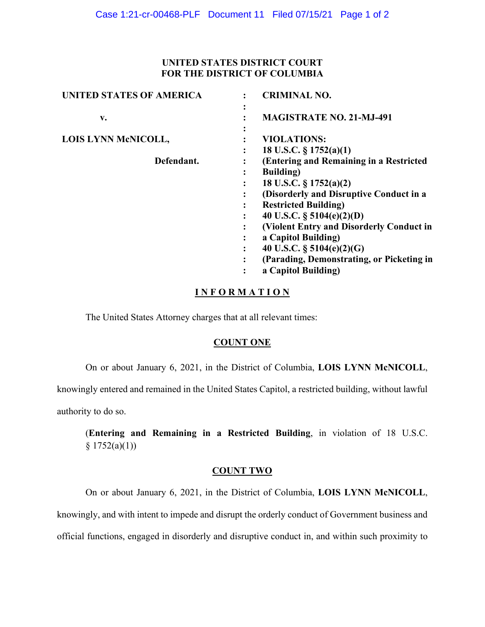#### **UNITED STATES DISTRICT COURT FOR THE DISTRICT OF COLUMBIA**

| <b>UNITED STATES OF AMERICA</b> | <b>CRIMINAL NO.</b>                       |
|---------------------------------|-------------------------------------------|
| v.                              | <b>MAGISTRATE NO. 21-MJ-491</b>           |
| LOIS LYNN McNICOLL,             | <b>VIOLATIONS:</b>                        |
|                                 | 18 U.S.C. $\S 1752(a)(1)$                 |
| Defendant.                      | (Entering and Remaining in a Restricted   |
|                                 | <b>Building</b> )                         |
|                                 | 18 U.S.C. $\S 1752(a)(2)$                 |
|                                 | (Disorderly and Disruptive Conduct in a   |
|                                 | <b>Restricted Building)</b>               |
|                                 | 40 U.S.C. $\S$ 5104(e)(2)(D)              |
|                                 | (Violent Entry and Disorderly Conduct in  |
|                                 | a Capitol Building)                       |
|                                 | 40 U.S.C. $\S$ 5104(e)(2)(G)              |
|                                 | (Parading, Demonstrating, or Picketing in |
|                                 | a Capitol Building)                       |

# **I N F O R M A T I O N**

The United States Attorney charges that at all relevant times:

## **COUNT ONE**

On or about January 6, 2021, in the District of Columbia, **LOIS LYNN McNICOLL**,

knowingly entered and remained in the United States Capitol, a restricted building, without lawful

authority to do so.

(**Entering and Remaining in a Restricted Building**, in violation of 18 U.S.C.  $§ 1752(a)(1))$ 

#### **COUNT TWO**

On or about January 6, 2021, in the District of Columbia, **LOIS LYNN McNICOLL**,

knowingly, and with intent to impede and disrupt the orderly conduct of Government business and

official functions, engaged in disorderly and disruptive conduct in, and within such proximity to